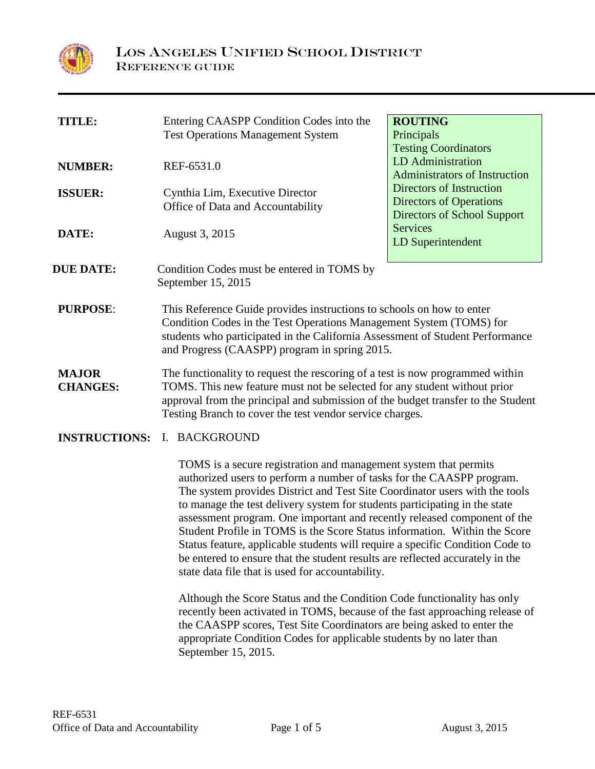

| <b>TITLE:</b>                   | Entering CAASPP Condition Codes into the<br><b>Test Operations Management System</b>                                                                                                                                                                                                                       | <b>ROUTING</b><br>Principals<br><b>Testing Coordinators</b>                                      |  |
|---------------------------------|------------------------------------------------------------------------------------------------------------------------------------------------------------------------------------------------------------------------------------------------------------------------------------------------------------|--------------------------------------------------------------------------------------------------|--|
| <b>NUMBER:</b>                  | REF-6531.0                                                                                                                                                                                                                                                                                                 | <b>LD</b> Administration<br><b>Administrators of Instruction</b>                                 |  |
| <b>ISSUER:</b>                  | Cynthia Lim, Executive Director<br>Office of Data and Accountability                                                                                                                                                                                                                                       | Directors of Instruction<br><b>Directors of Operations</b><br><b>Directors of School Support</b> |  |
| DATE:                           | August 3, 2015                                                                                                                                                                                                                                                                                             | <b>Services</b><br>LD Superintendent                                                             |  |
| <b>DUE DATE:</b>                | Condition Codes must be entered in TOMS by<br>September 15, 2015                                                                                                                                                                                                                                           |                                                                                                  |  |
| <b>PURPOSE:</b>                 | This Reference Guide provides instructions to schools on how to enter<br>Condition Codes in the Test Operations Management System (TOMS) for<br>students who participated in the California Assessment of Student Performance<br>and Progress (CAASPP) program in spring 2015.                             |                                                                                                  |  |
| <b>MAJOR</b><br><b>CHANGES:</b> | The functionality to request the rescoring of a test is now programmed within<br>TOMS. This new feature must not be selected for any student without prior<br>approval from the principal and submission of the budget transfer to the Student<br>Testing Branch to cover the test vendor service charges. |                                                                                                  |  |
| <b>INSTRUCTIONS:</b>            | I. BACKGROUND                                                                                                                                                                                                                                                                                              |                                                                                                  |  |

TOMS is a secure registration and management system that permits authorized users to perform a number of tasks for the CAASPP program. The system provides District and Test Site Coordinator users with the tools to manage the test delivery system for students participating in the state assessment program. One important and recently released component of the Student Profile in TOMS is the Score Status information. Within the Score Status feature, applicable students will require a specific Condition Code to be entered to ensure that the student results are reflected accurately in the state data file that is used for accountability.

Although the Score Status and the Condition Code functionality has only recently been activated in TOMS, because of the fast approaching release of the CAASPP scores, Test Site Coordinators are being asked to enter the appropriate Condition Codes for applicable students by no later than September 15, 2015.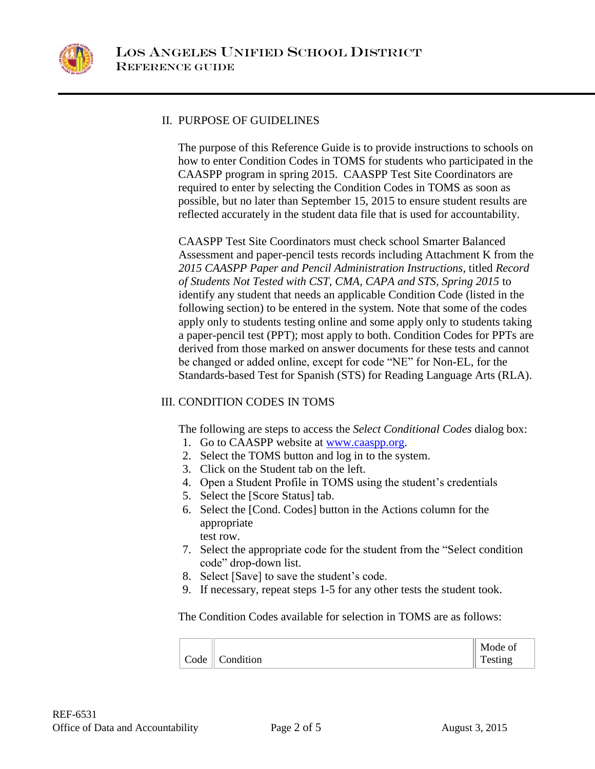

# II. PURPOSE OF GUIDELINES

The purpose of this Reference Guide is to provide instructions to schools on how to enter Condition Codes in TOMS for students who participated in the CAASPP program in spring 2015. CAASPP Test Site Coordinators are required to enter by selecting the Condition Codes in TOMS as soon as possible, but no later than September 15, 2015 to ensure student results are reflected accurately in the student data file that is used for accountability.

CAASPP Test Site Coordinators must check school Smarter Balanced Assessment and paper-pencil tests records including Attachment K from the *2015 CAASPP Paper and Pencil Administration Instructions,* titled *Record of Students Not Tested with CST, CMA, CAPA and STS, Spring 2015* to identify any student that needs an applicable Condition Code (listed in the following section) to be entered in the system. Note that some of the codes apply only to students testing online and some apply only to students taking a paper-pencil test (PPT); most apply to both. Condition Codes for PPTs are derived from those marked on answer documents for these tests and cannot be changed or added online, except for code "NE" for Non-EL, for the Standards-based Test for Spanish (STS) for Reading Language Arts (RLA).

# III. CONDITION CODES IN TOMS

The following are steps to access the *Select Conditional Codes* dialog box:

- 1. Go to CAASPP website at [www.caaspp.org.](http://www.caaspp.org/)
- 2. Select the TOMS button and log in to the system.
- 3. Click on the Student tab on the left.
- 4. Open a Student Profile in TOMS using the student's credentials
- 5. Select the [Score Status] tab.
- 6. Select the [Cond. Codes] button in the Actions column for the appropriate test row.
- 7. Select the appropriate code for the student from the "Select condition code" drop-down list.
- 8. Select [Save] to save the student's code.
- 9. If necessary, repeat steps 1-5 for any other tests the student took.

The Condition Codes available for selection in TOMS are as follows:

|                                | $\parallel$ Mode of |
|--------------------------------|---------------------|
| $\vert$ Code $\vert$ Condition | $\parallel$ Testing |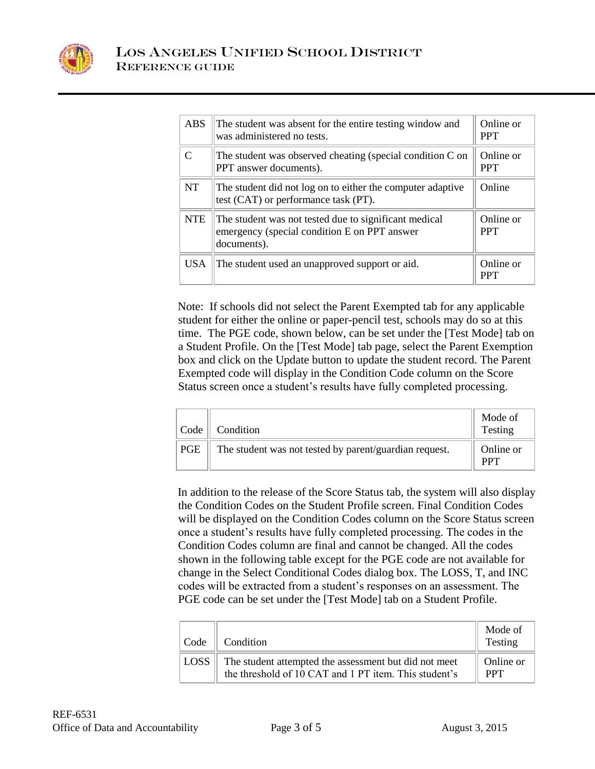

| <b>ABS</b>   | The student was absent for the entire testing window and<br>was administered no tests.                               | Online or<br><b>PPT</b> |
|--------------|----------------------------------------------------------------------------------------------------------------------|-------------------------|
| $\mathsf{C}$ | The student was observed cheating (special condition C on<br>PPT answer documents).                                  | Online or<br><b>PPT</b> |
| <b>NT</b>    | The student did not log on to either the computer adaptive<br>test (CAT) or performance task (PT).                   | Online                  |
| <b>NTE</b>   | The student was not tested due to significant medical<br>emergency (special condition E on PPT answer<br>documents). | Online or<br><b>PPT</b> |
| <b>USA</b>   | The student used an unapproved support or aid.                                                                       | Online or<br><b>PPT</b> |

Note: If schools did not select the Parent Exempted tab for any applicable student for either the online or paper-pencil test, schools may do so at this time. The PGE code, shown below, can be set under the [Test Mode] tab on a Student Profile. On the [Test Mode] tab page, select the Parent Exemption box and click on the Update button to update the student record. The Parent Exempted code will display in the Condition Code column on the Score Status screen once a student's results have fully completed processing.

| Code | Condition                                              | Mode of<br>Testing |
|------|--------------------------------------------------------|--------------------|
| PGE  | The student was not tested by parent/guardian request. | Online or<br>DDЛ   |

In addition to the release of the Score Status tab, the system will also display the Condition Codes on the Student Profile screen. Final Condition Codes will be displayed on the Condition Codes column on the Score Status screen once a student's results have fully completed processing. The codes in the Condition Codes column are final and cannot be changed. All the codes shown in the following table except for the PGE code are not available for change in the Select Conditional Codes dialog box. The LOSS, T, and INC codes will be extracted from a student's responses on an assessment. The PGE code can be set under the [Test Mode] tab on a Student Profile.

| Code        | Condition                                                                                                      | Mode of<br>Testing      |
|-------------|----------------------------------------------------------------------------------------------------------------|-------------------------|
| <b>LOSS</b> | The student attempted the assessment but did not meet<br>the threshold of 10 CAT and 1 PT item. This student's | Online or<br><b>PPT</b> |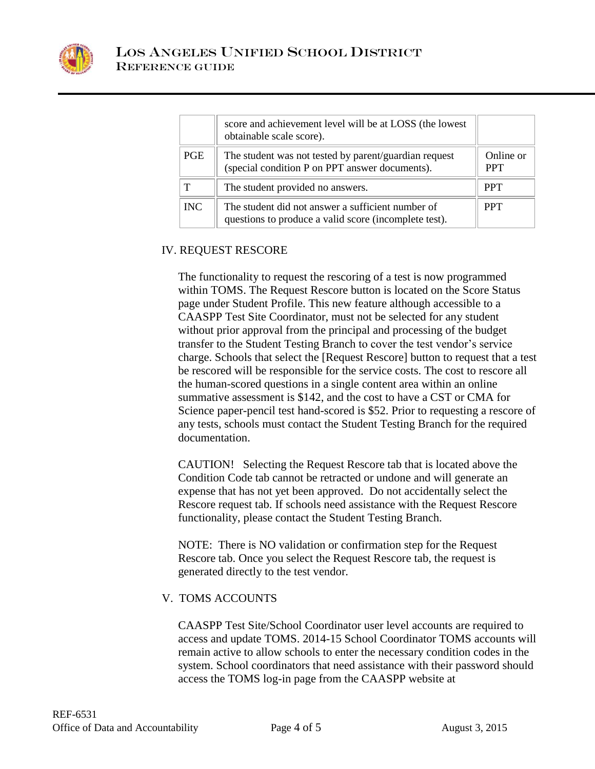

|            | score and achievement level will be at LOSS (the lowest<br>obtainable scale score).                        |                         |
|------------|------------------------------------------------------------------------------------------------------------|-------------------------|
| <b>PGE</b> | The student was not tested by parent/guardian request<br>(special condition P on PPT answer documents).    | Online or<br><b>PPT</b> |
| Т          | The student provided no answers.                                                                           | <b>PPT</b>              |
| <b>INC</b> | The student did not answer a sufficient number of<br>questions to produce a valid score (incomplete test). | PPT                     |

## IV. REQUEST RESCORE

The functionality to request the rescoring of a test is now programmed within TOMS. The Request Rescore button is located on the Score Status page under Student Profile. This new feature although accessible to a CAASPP Test Site Coordinator, must not be selected for any student without prior approval from the principal and processing of the budget transfer to the Student Testing Branch to cover the test vendor's service charge. Schools that select the [Request Rescore] button to request that a test be rescored will be responsible for the service costs. The cost to rescore all the human-scored questions in a single content area within an online summative assessment is \$142, and the cost to have a CST or CMA for Science paper-pencil test hand-scored is \$52. Prior to requesting a rescore of any tests, schools must contact the Student Testing Branch for the required documentation.

CAUTION! Selecting the Request Rescore tab that is located above the Condition Code tab cannot be retracted or undone and will generate an expense that has not yet been approved. Do not accidentally select the Rescore request tab. If schools need assistance with the Request Rescore functionality, please contact the Student Testing Branch.

NOTE: There is NO validation or confirmation step for the Request Rescore tab. Once you select the Request Rescore tab, the request is generated directly to the test vendor.

## V. TOMS ACCOUNTS

CAASPP Test Site/School Coordinator user level accounts are required to access and update TOMS. 2014-15 School Coordinator TOMS accounts will remain active to allow schools to enter the necessary condition codes in the system. School coordinators that need assistance with their password should access the TOMS log-in page from the CAASPP website at